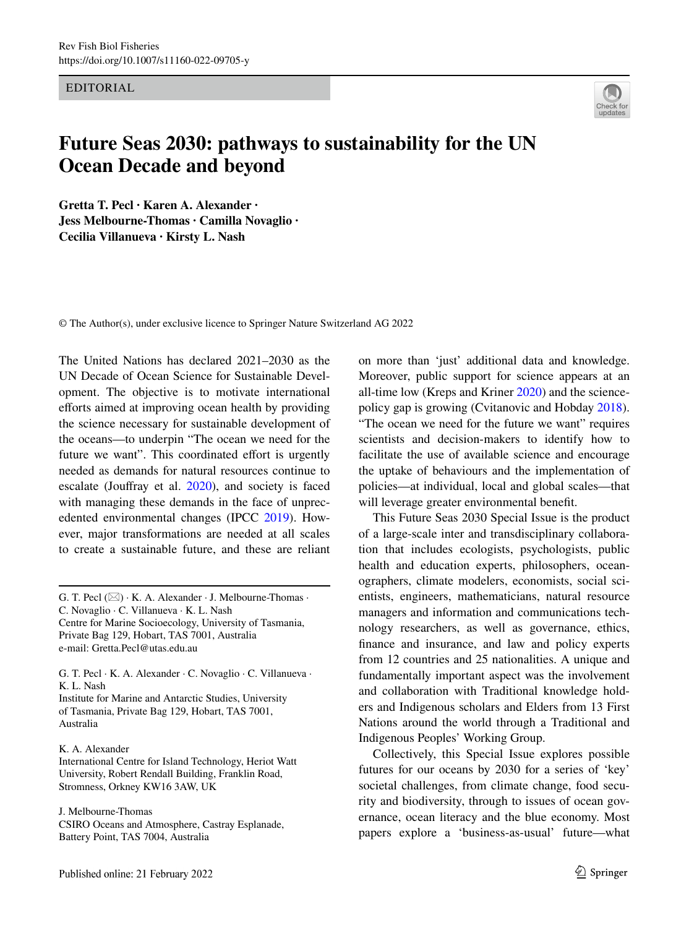## EDITORIAL



## **Future Seas 2030: pathways to sustainability for the UN Ocean Decade and beyond**

**Gretta T. Pecl · Karen A. Alexander · Jess Melbourne‑Thomas · Camilla Novaglio · Cecilia Villanueva · Kirsty L. Nash**

© The Author(s), under exclusive licence to Springer Nature Switzerland AG 2022

The United Nations has declared 2021–2030 as the UN Decade of Ocean Science for Sustainable Development. The objective is to motivate international efforts aimed at improving ocean health by providing the science necessary for sustainable development of the oceans—to underpin "The ocean we need for the future we want". This coordinated effort is urgently needed as demands for natural resources continue to escalate (Joufray et al. [2020](#page-6-1)), and society is faced with managing these demands in the face of unprecedented environmental changes (IPCC [2019\)](#page-6-2). However, major transformations are needed at all scales to create a sustainable future, and these are reliant

G. T. Pecl  $(\boxtimes) \cdot$  K. A. Alexander  $\cdot$  J. Melbourne-Thomas  $\cdot$ C. Novaglio · C. Villanueva · K. L. Nash Centre for Marine Socioecology, University of Tasmania, Private Bag 129, Hobart, TAS 7001, Australia

e-mail: Gretta.Pecl@utas.edu.au

G. T. Pecl · K. A. Alexander · C. Novaglio · C. Villanueva · K. L. Nash

Institute for Marine and Antarctic Studies, University of Tasmania, Private Bag 129, Hobart, TAS 7001, Australia

## K. A. Alexander

International Centre for Island Technology, Heriot Watt University, Robert Rendall Building, Franklin Road, Stromness, Orkney KW16 3AW, UK

J. Melbourne-Thomas

CSIRO Oceans and Atmosphere, Castray Esplanade, Battery Point, TAS 7004, Australia

on more than 'just' additional data and knowledge. Moreover, public support for science appears at an all-time low (Kreps and Kriner [2020](#page-6-0)) and the sciencepolicy gap is growing (Cvitanovic and Hobday [2018](#page-5-0)). "The ocean we need for the future we want" requires scientists and decision-makers to identify how to facilitate the use of available science and encourage the uptake of behaviours and the implementation of policies—at individual, local and global scales—that will leverage greater environmental beneft.

This Future Seas 2030 Special Issue is the product of a large-scale inter and transdisciplinary collaboration that includes ecologists, psychologists, public health and education experts, philosophers, oceanographers, climate modelers, economists, social scientists, engineers, mathematicians, natural resource managers and information and communications technology researchers, as well as governance, ethics, fnance and insurance, and law and policy experts from 12 countries and 25 nationalities. A unique and fundamentally important aspect was the involvement and collaboration with Traditional knowledge holders and Indigenous scholars and Elders from 13 First Nations around the world through a Traditional and Indigenous Peoples' Working Group.

Collectively, this Special Issue explores possible futures for our oceans by 2030 for a series of 'key' societal challenges, from climate change, food security and biodiversity, through to issues of ocean governance, ocean literacy and the blue economy. Most papers explore a 'business-as-usual' future—what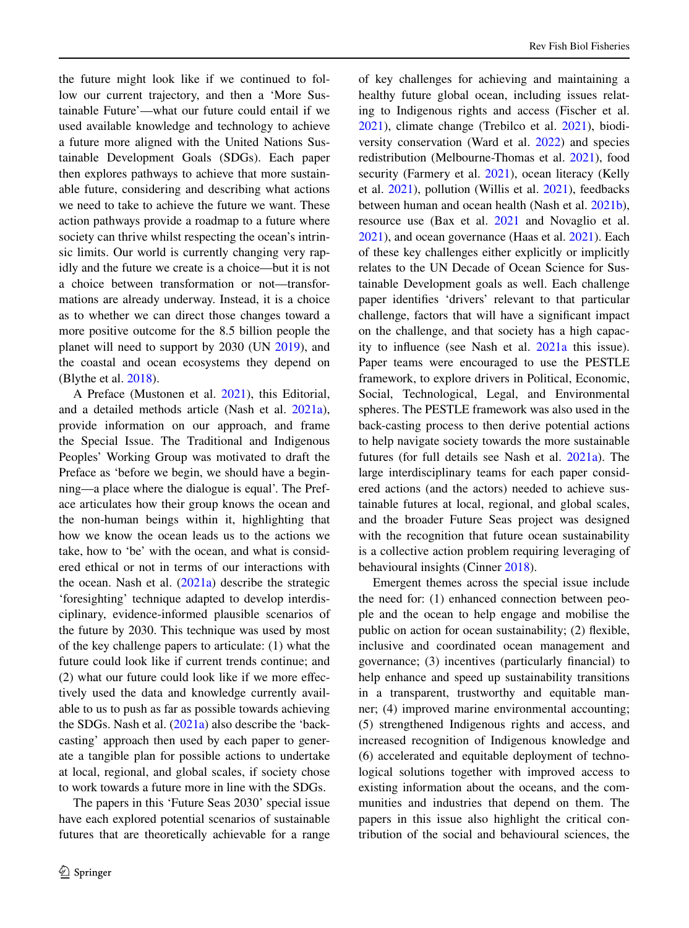the future might look like if we continued to follow our current trajectory, and then a 'More Sustainable Future'—what our future could entail if we used available knowledge and technology to achieve a future more aligned with the United Nations Sustainable Development Goals (SDGs). Each paper then explores pathways to achieve that more sustainable future, considering and describing what actions we need to take to achieve the future we want. These action pathways provide a roadmap to a future where society can thrive whilst respecting the ocean's intrinsic limits. Our world is currently changing very rapidly and the future we create is a choice—but it is not a choice between transformation or not—transformations are already underway. Instead, it is a choice as to whether we can direct those changes toward a more positive outcome for the 8.5 billion people the planet will need to support by 2030 (UN [2019\)](#page-6-3), and the coastal and ocean ecosystems they depend on (Blythe et al. [2018\)](#page-5-1).

A Preface (Mustonen et al. [2021\)](#page-6-4), this Editorial, and a detailed methods article (Nash et al. [2021a](#page-6-5)), provide information on our approach, and frame the Special Issue. The Traditional and Indigenous Peoples' Working Group was motivated to draft the Preface as 'before we begin, we should have a beginning—a place where the dialogue is equal'. The Preface articulates how their group knows the ocean and the non-human beings within it, highlighting that how we know the ocean leads us to the actions we take, how to 'be' with the ocean, and what is considered ethical or not in terms of our interactions with the ocean. Nash et al. ([2021a](#page-6-5)) describe the strategic 'foresighting' technique adapted to develop interdisciplinary, evidence-informed plausible scenarios of the future by 2030. This technique was used by most of the key challenge papers to articulate: (1) what the future could look like if current trends continue; and (2) what our future could look like if we more efectively used the data and knowledge currently available to us to push as far as possible towards achieving the SDGs. Nash et al. [\(2021a](#page-6-5)) also describe the 'backcasting' approach then used by each paper to generate a tangible plan for possible actions to undertake at local, regional, and global scales, if society chose to work towards a future more in line with the SDGs.

The papers in this 'Future Seas 2030' special issue have each explored potential scenarios of sustainable futures that are theoretically achievable for a range of key challenges for achieving and maintaining a healthy future global ocean, including issues relating to Indigenous rights and access (Fischer et al. [2021\)](#page-6-6), climate change (Trebilco et al. [2021\)](#page-6-7), biodiversity conservation (Ward et al. [2022](#page-6-8)) and species redistribution (Melbourne-Thomas et al. [2021\)](#page-6-9), food security (Farmery et al. [2021](#page-5-2)), ocean literacy (Kelly et al. [2021](#page-6-10)), pollution (Willis et al. [2021\)](#page-6-11), feedbacks between human and ocean health (Nash et al. [2021b](#page-6-12)), resource use (Bax et al. [2021](#page-5-3) and Novaglio et al. [2021\)](#page-6-13), and ocean governance (Haas et al. [2021](#page-6-14)). Each of these key challenges either explicitly or implicitly relates to the UN Decade of Ocean Science for Sustainable Development goals as well. Each challenge paper identifes 'drivers' relevant to that particular challenge, factors that will have a signifcant impact on the challenge, and that society has a high capacity to infuence (see Nash et al. [2021a](#page-6-5) this issue). Paper teams were encouraged to use the PESTLE framework, to explore drivers in Political, Economic, Social, Technological, Legal, and Environmental spheres. The PESTLE framework was also used in the back-casting process to then derive potential actions to help navigate society towards the more sustainable futures (for full details see Nash et al. [2021a\)](#page-6-5). The large interdisciplinary teams for each paper considered actions (and the actors) needed to achieve sustainable futures at local, regional, and global scales, and the broader Future Seas project was designed with the recognition that future ocean sustainability is a collective action problem requiring leveraging of behavioural insights (Cinner [2018\)](#page-5-4).

Emergent themes across the special issue include the need for: (1) enhanced connection between people and the ocean to help engage and mobilise the public on action for ocean sustainability; (2) fexible, inclusive and coordinated ocean management and governance; (3) incentives (particularly fnancial) to help enhance and speed up sustainability transitions in a transparent, trustworthy and equitable manner; (4) improved marine environmental accounting; (5) strengthened Indigenous rights and access, and increased recognition of Indigenous knowledge and (6) accelerated and equitable deployment of technological solutions together with improved access to existing information about the oceans, and the communities and industries that depend on them. The papers in this issue also highlight the critical contribution of the social and behavioural sciences, the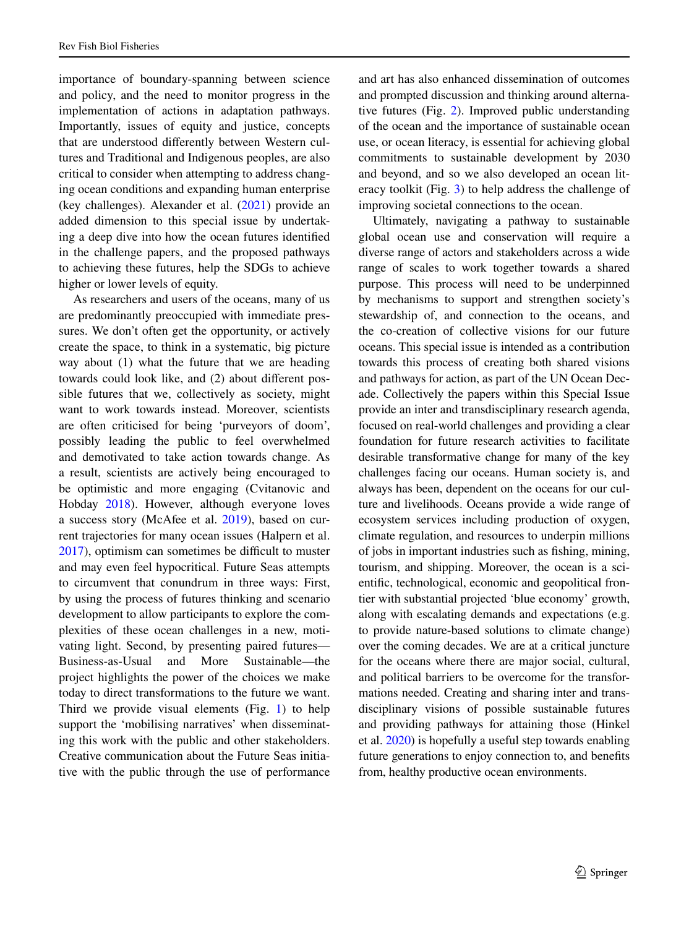importance of boundary-spanning between science and policy, and the need to monitor progress in the implementation of actions in adaptation pathways. Importantly, issues of equity and justice, concepts that are understood diferently between Western cultures and Traditional and Indigenous peoples, are also critical to consider when attempting to address changing ocean conditions and expanding human enterprise (key challenges). Alexander et al. ([2021\)](#page-5-5) provide an added dimension to this special issue by undertaking a deep dive into how the ocean futures identifed in the challenge papers, and the proposed pathways to achieving these futures, help the SDGs to achieve higher or lower levels of equity.

As researchers and users of the oceans, many of us are predominantly preoccupied with immediate pressures. We don't often get the opportunity, or actively create the space, to think in a systematic, big picture way about (1) what the future that we are heading towards could look like, and (2) about diferent possible futures that we, collectively as society, might want to work towards instead. Moreover, scientists are often criticised for being 'purveyors of doom', possibly leading the public to feel overwhelmed and demotivated to take action towards change. As a result, scientists are actively being encouraged to be optimistic and more engaging (Cvitanovic and Hobday [2018\)](#page-5-0). However, although everyone loves a success story (McAfee et al. [2019](#page-6-15)), based on current trajectories for many ocean issues (Halpern et al.  $2017$ ), optimism can sometimes be difficult to muster and may even feel hypocritical. Future Seas attempts to circumvent that conundrum in three ways: First, by using the process of futures thinking and scenario development to allow participants to explore the complexities of these ocean challenges in a new, motivating light. Second, by presenting paired futures— Business-as-Usual and More Sustainable—the project highlights the power of the choices we make today to direct transformations to the future we want. Third we provide visual elements (Fig. [1\)](#page-3-0) to help support the 'mobilising narratives' when disseminating this work with the public and other stakeholders. Creative communication about the Future Seas initiative with the public through the use of performance and art has also enhanced dissemination of outcomes and prompted discussion and thinking around alternative futures (Fig. [2](#page-4-0)). Improved public understanding of the ocean and the importance of sustainable ocean use, or ocean literacy, is essential for achieving global commitments to sustainable development by 2030 and beyond, and so we also developed an ocean literacy toolkit (Fig. [3\)](#page-5-6) to help address the challenge of improving societal connections to the ocean.

Ultimately, navigating a pathway to sustainable global ocean use and conservation will require a diverse range of actors and stakeholders across a wide range of scales to work together towards a shared purpose. This process will need to be underpinned by mechanisms to support and strengthen society's stewardship of, and connection to the oceans, and the co-creation of collective visions for our future oceans. This special issue is intended as a contribution towards this process of creating both shared visions and pathways for action, as part of the UN Ocean Decade. Collectively the papers within this Special Issue provide an inter and transdisciplinary research agenda, focused on real-world challenges and providing a clear foundation for future research activities to facilitate desirable transformative change for many of the key challenges facing our oceans. Human society is, and always has been, dependent on the oceans for our culture and livelihoods. Oceans provide a wide range of ecosystem services including production of oxygen, climate regulation, and resources to underpin millions of jobs in important industries such as fshing, mining, tourism, and shipping. Moreover, the ocean is a scientifc, technological, economic and geopolitical frontier with substantial projected 'blue economy' growth, along with escalating demands and expectations (e.g. to provide nature-based solutions to climate change) over the coming decades. We are at a critical juncture for the oceans where there are major social, cultural, and political barriers to be overcome for the transformations needed. Creating and sharing inter and transdisciplinary visions of possible sustainable futures and providing pathways for attaining those (Hinkel et al. [2020](#page-6-17)) is hopefully a useful step towards enabling future generations to enjoy connection to, and benefts from, healthy productive ocean environments.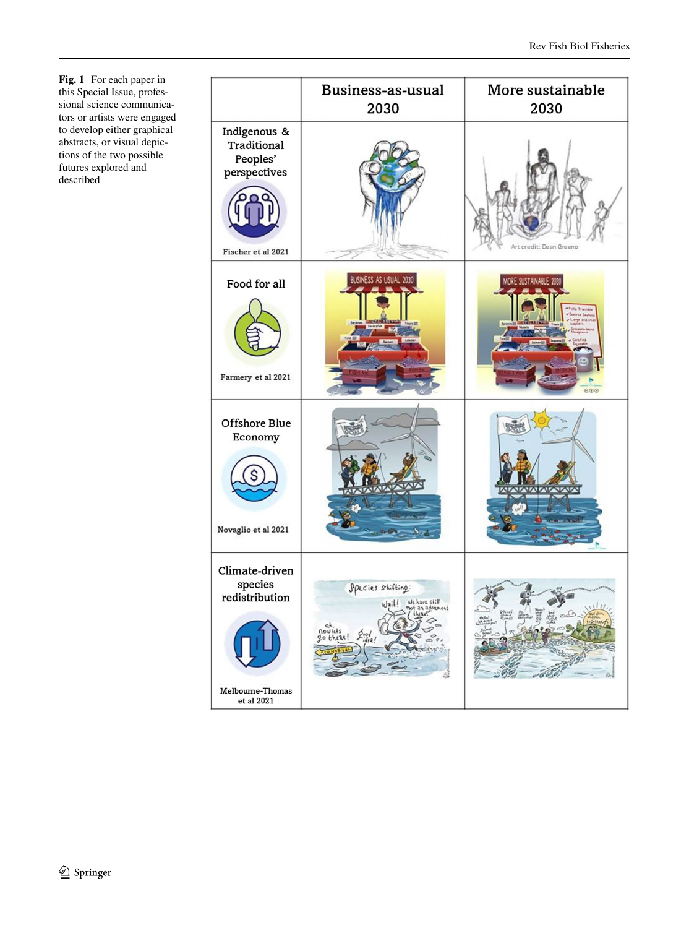<span id="page-3-0"></span>**Fig. 1** For each paper in this Special Issue, profes sional science communica tors or artists were engaged to develop either graphical abstracts, or visual depic tions of the two possible futures explored and described

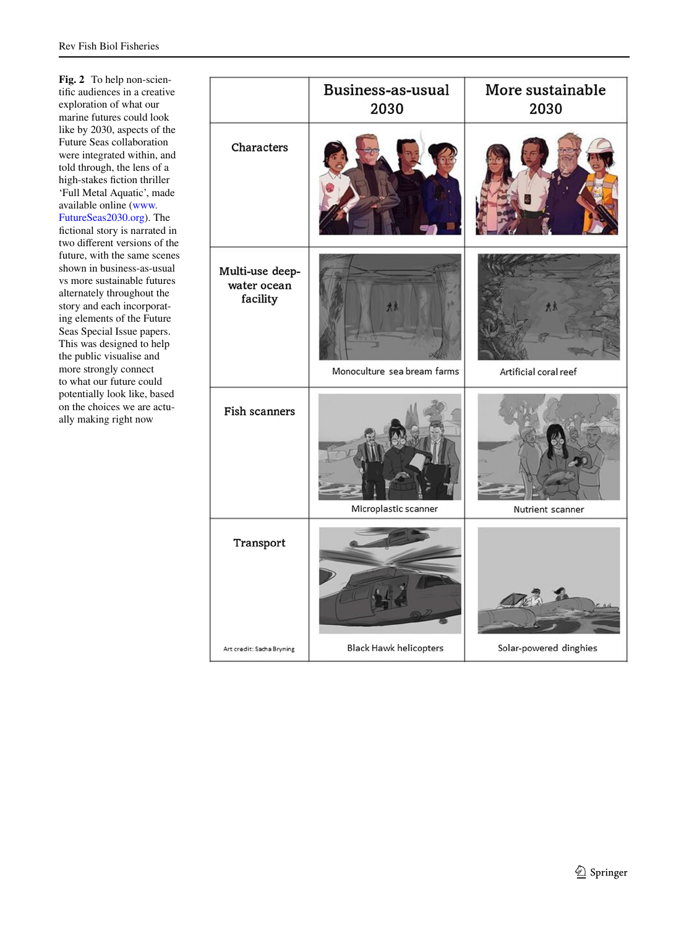<span id="page-4-0"></span>**Fig. 2** To help non-scientifc audiences in a creative exploration of what our marine futures could look like by 2030, aspects of the Future Seas collaboration were integrated within, and told through, the lens of a high-stakes fiction thriller 'Full Metal Aquatic', made available online [\(www.](http://www.FutureSeas2030.org) [FutureSeas2030.org\)](http://www.FutureSeas2030.org). The fictional story is narrated in two diferent versions of the future, with the same scenes shown in business-as-usual vs more sustainable futures alternately throughout the story and each incorporating elements of the Future Seas Special Issue papers. This was designed to help the public visualise and more strongly connect to what our future could potentially look like, based on the choices we are actually making right now

|                                            | Business-as-usual<br>2030         | More sustainable<br>2030 |
|--------------------------------------------|-----------------------------------|--------------------------|
| Characters                                 |                                   |                          |
| Multi-use deep-<br>water ocean<br>facility | 21<br>Monoculture sea bream farms | Artificial coral reef    |
| Fish scanners                              | Microplastic scanner              | Nutrient scanner         |
| Transport<br>Art credit: Sacha Bryning     | <b>Black Hawk helicopters</b>     | Solar-powered dinghies   |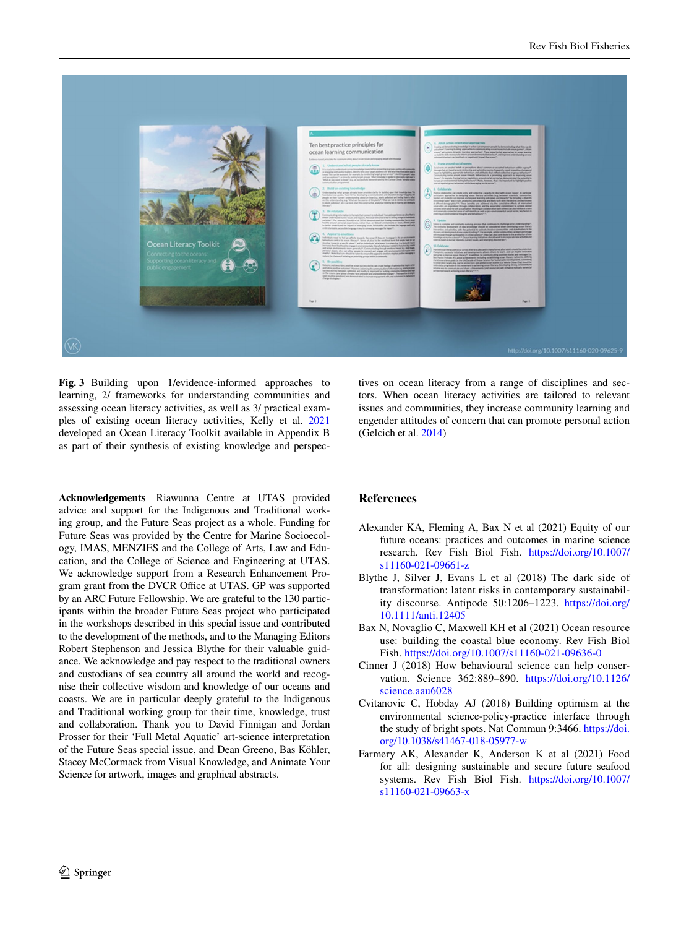

<span id="page-5-6"></span>**Fig. 3** Building upon 1/evidence-informed approaches to learning, 2/ frameworks for understanding communities and assessing ocean literacy activities, as well as 3/ practical examples of existing ocean literacy activities, Kelly et al. [2021](#page-6-10) developed an Ocean Literacy Toolkit available in Appendix B as part of their synthesis of existing knowledge and perspec-

**Acknowledgements** Riawunna Centre at UTAS provided advice and support for the Indigenous and Traditional working group, and the Future Seas project as a whole. Funding for Future Seas was provided by the Centre for Marine Socioecology, IMAS, MENZIES and the College of Arts, Law and Education, and the College of Science and Engineering at UTAS. We acknowledge support from a Research Enhancement Program grant from the DVCR Office at UTAS. GP was supported by an ARC Future Fellowship. We are grateful to the 130 participants within the broader Future Seas project who participated in the workshops described in this special issue and contributed to the development of the methods, and to the Managing Editors Robert Stephenson and Jessica Blythe for their valuable guidance. We acknowledge and pay respect to the traditional owners and custodians of sea country all around the world and recognise their collective wisdom and knowledge of our oceans and coasts. We are in particular deeply grateful to the Indigenous and Traditional working group for their time, knowledge, trust and collaboration. Thank you to David Finnigan and Jordan Prosser for their 'Full Metal Aquatic' art-science interpretation of the Future Seas special issue, and Dean Greeno, Bas Köhler, Stacey McCormack from Visual Knowledge, and Animate Your Science for artwork, images and graphical abstracts.

tives on ocean literacy from a range of disciplines and sectors. When ocean literacy activities are tailored to relevant issues and communities, they increase community learning and engender attitudes of concern that can promote personal action (Gelcich et al. [2014\)](#page-6-18)

## **References**

- <span id="page-5-5"></span>Alexander KA, Fleming A, Bax N et al (2021) Equity of our future oceans: practices and outcomes in marine science research. Rev Fish Biol Fish. [https://doi.org/10.1007/](https://doi.org/10.1007/s11160-021-09661-z) [s11160-021-09661-z](https://doi.org/10.1007/s11160-021-09661-z)
- <span id="page-5-1"></span>Blythe J, Silver J, Evans L et al (2018) The dark side of transformation: latent risks in contemporary sustainability discourse. Antipode 50:1206–1223. [https://doi.org/](https://doi.org/10.1111/anti.12405) [10.1111/anti.12405](https://doi.org/10.1111/anti.12405)
- <span id="page-5-3"></span>Bax N, Novaglio C, Maxwell KH et al (2021) Ocean resource use: building the coastal blue economy. Rev Fish Biol Fish.<https://doi.org/10.1007/s11160-021-09636-0>
- <span id="page-5-4"></span>Cinner J (2018) How behavioural science can help conservation. Science 362:889–890. [https://doi.org/10.1126/](https://doi.org/10.1126/science.aau6028) [science.aau6028](https://doi.org/10.1126/science.aau6028)
- <span id="page-5-0"></span>Cvitanovic C, Hobday AJ (2018) Building optimism at the environmental science-policy-practice interface through the study of bright spots. Nat Commun 9:3466. [https://doi.](https://doi.org/10.1038/s41467-018-05977-w) [org/10.1038/s41467-018-05977-w](https://doi.org/10.1038/s41467-018-05977-w)
- <span id="page-5-2"></span>Farmery AK, Alexander K, Anderson K et al (2021) Food for all: designing sustainable and secure future seafood systems. Rev Fish Biol Fish. [https://doi.org/10.1007/](https://doi.org/10.1007/s11160-021-09663-x) [s11160-021-09663-x](https://doi.org/10.1007/s11160-021-09663-x)